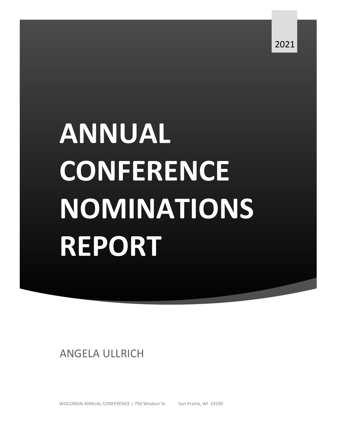# **ANNUAL CONFERENCE NOMINATIONS REPORT**

ANGELA ULLRICH

WISCONSIN ANNUAL CONFERENCE | 750 Windsor St Sun Prairie, WI 53590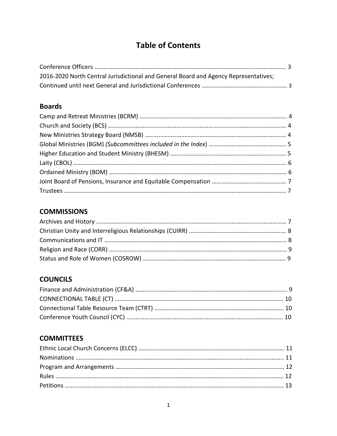## **Table of Contents**

| 2016-2020 North Central Jurisdictional and General Board and Agency Representatives; |  |
|--------------------------------------------------------------------------------------|--|
|                                                                                      |  |

## **Boards**

## **COMMISSIONS**

## **COUNCILS**

## **COMMITTEES**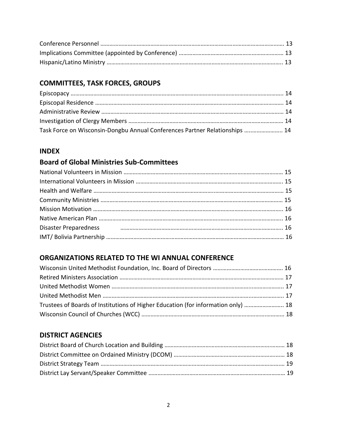## **COMMITTEES, TASK FORCES, GROUPS**

| Task Force on Wisconsin-Dongbu Annual Conferences Partner Relationships  14 |  |
|-----------------------------------------------------------------------------|--|

## **INDEX**

## **Board of Global Ministries Sub-Committees**

| Disaster Preparedness <b>Manual According to the Contract Office</b> of the manual contract of the manual contract of |  |
|-----------------------------------------------------------------------------------------------------------------------|--|
|                                                                                                                       |  |

## **ORGANIZATIONS RELATED TO THE WI ANNUAL CONFERENCE**

| Trustees of Boards of Institutions of Higher Education (for information only)  18 |  |
|-----------------------------------------------------------------------------------|--|
|                                                                                   |  |

## **DISTRICT AGENCIES**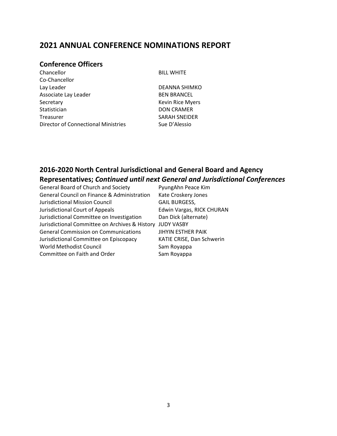## **2021 ANNUAL CONFERENCE NOMINATIONS REPORT**

## **Conference Officers**

Chancellor BILL WHITE Co-Chancellor Lay Leader **DEANNA SHIMKO** Associate Lay Leader BEN BRANCEL Secretary **Kevin Rice Myers Kevin Rice Myers** Statistician DON CRAMER Treasurer SARAH SNEIDER Director of Connectional Ministries Sue D'Alessio

## **2016-2020 North Central Jurisdictional and General Board and Agency Representatives;** *Continued until next General and Jurisdictional Conferences*

| General Board of Church and Society                    | PyungAhn Peace Kim        |
|--------------------------------------------------------|---------------------------|
| <b>General Council on Finance &amp; Administration</b> | Kate Croskery Jones       |
| Jurisdictional Mission Council                         | <b>GAIL BURGESS,</b>      |
| Jurisdictional Court of Appeals                        | Edwin Vargas, RICK CHURAN |
| Jurisdictional Committee on Investigation              | Dan Dick (alternate)      |
| Jurisdictional Committee on Archives & History         | <b>JUDY VASBY</b>         |
| <b>General Commission on Communications</b>            | <b>JIHYIN ESTHER PAIK</b> |
| Jurisdictional Committee on Episcopacy                 | KATIE CRISE, Dan Schwerin |
| World Methodist Council                                | Sam Royappa               |
| Committee on Faith and Order                           | Sam Royappa               |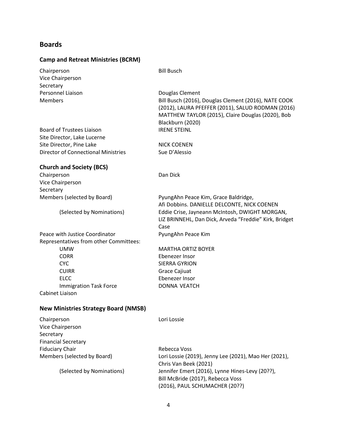#### **Boards**

#### **Camp and Retreat Ministries (BCRM)**

Chairperson Bill Busch Vice Chairperson **Secretary** Personnel Liaison **Douglas Clement** 

Board of Trustees Liaison IRENE STEINL Site Director, Lake Lucerne Site Director, Pine Lake NICK COENEN Director of Connectional Ministries Sue D'Alessio

Members Bill Busch (2016), Douglas Clement (2016), NATE COOK (2012), LAURA PFEFFER (2011), SALUD RODMAN (2016) MATTHEW TAYLOR (2015), Claire Douglas (2020), Bob Blackburn (2020)

#### **Church and Society (BCS)**

Chairperson Dan Dick Vice Chairperson **Secretary** Members (selected by Board) PyungAhn Peace Kim, Grace Baldridge,

Afi Dobbins. DANIELLE DELCONTE, NICK COENEN (Selected by Nominations) Eddie Crise, Jayneann McIntosh, DWIGHT MORGAN, LIZ BRINNEHL, Dan Dick, Arveda "Freddie" Kirk, Bridget Case

Peace with Justice Coordinator **PyungAhn Peace Kim** Representatives from other Committees: UMW MARTHA ORTIZ BOYER CORR Ebenezer Insor

CUIRR Grace Cajiuat ELCC Ebenezer Insor Immigration Task Force DONNA VEATCH Cabinet Liaison

CYC SIERRA GYRION

#### **New Ministries Strategy Board (NMSB)**

Chairperson **Lori Lossie** Vice Chairperson **Secretary** Financial Secretary Fiduciary Chair **Rebecca Voss** Rebecca Voss Members (selected by Board) Lori Lossie (2019), Jenny Lee (2021), Mao Her (2021), Chris Van Beek (2021) (Selected by Nominations) Jennifer Emert (2016), Lynne Hines-Levy (20??), Bill McBride (2017), Rebecca Voss (2016), PAUL SCHUMACHER (20??)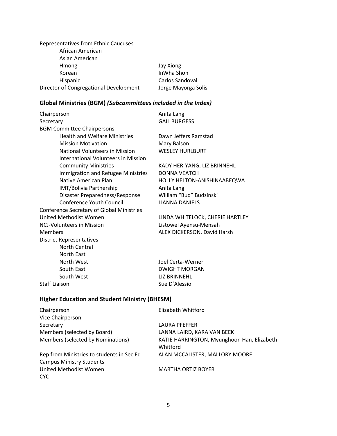Representatives from Ethnic Caucuses African American Asian American Hmong Jay Xiong Korean InWha Shon Hispanic **Carlos Sandoval** Director of Congregational Development Jorge Mayorga Solis

#### **Global Ministries (BGM)** *(Subcommittees included in the Index)*

Chairperson **Anita Lang** Secretary GAIL BURGESS BGM Committee Chairpersons Health and Welfare Ministries Dawn Jeffers Ramstad Mission Motivation Mary Balson National Volunteers in Mission WESLEY HURLBURT International Volunteers in Mission Community Ministries KADY HER-YANG, LIZ BRINNEHL Immigration and Refugee Ministries DONNA VEATCH Native American Plan **HOLLY HELTON-ANISHINAABEQWA** IMT/Bolivia Partnership Manita Lang Disaster Preparedness/Response William "Bud" Budzinski Conference Youth Council LIANNA DANIELS Conference Secretary of Global Ministries United Methodist Women LINDA WHITELOCK, CHERIE HARTLEY NCJ-Volunteers in Mission Listowel Ayensu-Mensah Members **ALEX DICKERSON, David Harsh** District Representatives North Central North East North West Joel Certa-Werner South East **DWIGHT MORGAN** South West **LIZ BRINNEHL** Staff Liaison Staff Liaison Sue D'Alessio

#### **Higher Education and Student Ministry (BHESM)**

| Chairperson                               | Elizabeth Whitford                                     |
|-------------------------------------------|--------------------------------------------------------|
| Vice Chairperson                          |                                                        |
| Secretary                                 | LAURA PFEFFER                                          |
| Members (selected by Board)               | LANNA LAIRD, KARA VAN BEEK                             |
| Members (selected by Nominations)         | KATIE HARRINGTON, Myunghoon Han, Elizabeth<br>Whitford |
| Rep from Ministries to students in Sec Ed | ALAN MCCALISTER, MALLORY MOORE                         |
| <b>Campus Ministry Students</b>           |                                                        |
| United Methodist Women<br>CYC.            | <b>MARTHA ORTIZ BOYER</b>                              |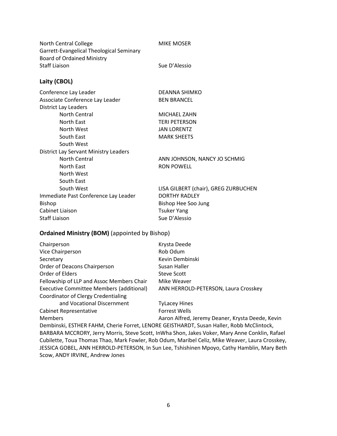| North Central College                    | <b>MIKE MOSER</b>                    |
|------------------------------------------|--------------------------------------|
| Garrett-Evangelical Theological Seminary |                                      |
| <b>Board of Ordained Ministry</b>        |                                      |
| <b>Staff Liaison</b>                     | Sue D'Alessio                        |
| Laity (CBOL)                             |                                      |
| Conference Lay Leader                    | DEANNA SHIMKO                        |
| Associate Conference Lay Leader          | <b>BEN BRANCEL</b>                   |
| <b>District Lay Leaders</b>              |                                      |
| <b>North Central</b>                     | MICHAEL ZAHN                         |
| <b>North East</b>                        | <b>TERI PETERSON</b>                 |
| North West                               | <b>JAN LORENTZ</b>                   |
| South East                               | <b>MARK SHEETS</b>                   |
| South West                               |                                      |
| District Lay Servant Ministry Leaders    |                                      |
| <b>North Central</b>                     | ANN JOHNSON, NANCY JO SCHMIG         |
| <b>North East</b>                        | <b>RON POWELL</b>                    |
| North West                               |                                      |
| South East                               |                                      |
| South West                               | LISA GILBERT (chair), GREG ZURBUCHEN |
|                                          | <b>DORTHY RADLEY</b>                 |
| Immediate Past Conference Lay Leader     |                                      |
| <b>Bishop</b>                            | Bishop Hee Soo Jung                  |
| Cabinet Liaison                          | <b>Tsuker Yang</b>                   |
| <b>Staff Liaison</b>                     | Sue D'Alessio                        |

#### **Ordained Ministry (BOM)** (appointed by Bishop)

| Chairperson                                | Krysta Deede                                     |
|--------------------------------------------|--------------------------------------------------|
| Vice Chairperson                           | Rob Odum                                         |
| Secretary                                  | Kevin Dembinski                                  |
| Order of Deacons Chairperson               | Susan Haller                                     |
| Order of Elders                            | Steve Scott                                      |
| Fellowship of LLP and Assoc Members Chair  | Mike Weaver                                      |
| Executive Committee Members (additional)   | ANN HERROLD-PETERSON, Laura Crosskey             |
| <b>Coordinator of Clergy Credentialing</b> |                                                  |
| and Vocational Discernment                 | <b>TyLacey Hines</b>                             |
| Cabinet Representative                     | <b>Forrest Wells</b>                             |
| <b>Members</b>                             | Aaron Alfred, Jeremy Deaner, Krysta Deede, Kevin |
|                                            |                                                  |

Dembinski, ESTHER FAHM, Cherie Forret, LENORE GEISTHARDT, Susan Haller, Robb McClintock, BARBARA MCCRORY, Jerry Morris, Steve Scott, InWha Shon, Jakes Voker, Mary Anne Conklin, Rafael Cubilette, Toua Thomas Thao, Mark Fowler, Rob Odum, Maribel Celiz, Mike Weaver, Laura Crosskey, JESSICA GOBEL, ANN HERROLD-PETERSON, In Sun Lee, Tshishinen Mpoyo, Cathy Hamblin, Mary Beth Scow, ANDY IRVINE, Andrew Jones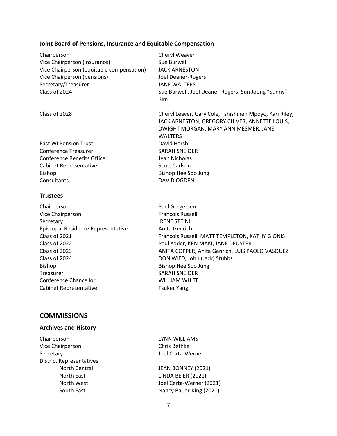#### **Joint Board of Pensions, Insurance and Equitable Compensation**

| Chairperson<br>Vice Chairperson (insurance)<br>Vice Chairperson (equitable compensation)<br>Vice Chairperson (pensions)<br>Secretary/Treasurer<br>Class of 2024 | Cheryl Weaver<br>Sue Burwell<br><b>JACK ARNESTON</b><br><b>Joel Deaner-Rogers</b><br><b>JANE WALTERS</b><br>Sue Burwell, Joel Deaner-Rogers, Sun Joong "Sunny"<br>Kim |
|-----------------------------------------------------------------------------------------------------------------------------------------------------------------|-----------------------------------------------------------------------------------------------------------------------------------------------------------------------|
| Class of 2028                                                                                                                                                   | Cheryl Leaver, Gary Cole, Tshishinen Mpoyo, Kari Riley,<br>JACK ARNESTON, GREGORY CHIVER, ANNETTE LOUIS,<br>DWIGHT MORGAN, MARY ANN MESMER, JANE<br><b>WALTERS</b>    |
| <b>East WI Pension Trust</b>                                                                                                                                    | David Harsh                                                                                                                                                           |
| <b>Conference Treasurer</b>                                                                                                                                     | <b>SARAH SNEIDER</b>                                                                                                                                                  |
| <b>Conference Benefits Officer</b>                                                                                                                              | Jean Nicholas                                                                                                                                                         |
| <b>Cabinet Representative</b>                                                                                                                                   | <b>Scott Carlson</b>                                                                                                                                                  |
| <b>Bishop</b>                                                                                                                                                   | Bishop Hee Soo Jung                                                                                                                                                   |
| Consultants                                                                                                                                                     | <b>DAVID OGDEN</b>                                                                                                                                                    |
| <b>Trustees</b>                                                                                                                                                 |                                                                                                                                                                       |
| Chairperson                                                                                                                                                     | Paul Gregersen                                                                                                                                                        |
| Vice Chairperson                                                                                                                                                | <b>Francois Russell</b>                                                                                                                                               |
| Secretary                                                                                                                                                       | <b>IRENE STEINL</b>                                                                                                                                                   |
| Episcopal Residence Representative                                                                                                                              | Anita Genrich                                                                                                                                                         |
| Class of 2021                                                                                                                                                   | Francois Russell, MATT TEMPLETON, KATHY GIONIS                                                                                                                        |
| Class of 2022                                                                                                                                                   | Paul Yoder, KEN MAKI, JANE DEUSTER                                                                                                                                    |
| Class of 2023                                                                                                                                                   | ANITA COPPER, Anita Genrich, LUIS PAOLO VASQUEZ                                                                                                                       |
| Class of 2024                                                                                                                                                   | DON WIED, John (Jack) Stubbs                                                                                                                                          |
| Bishop                                                                                                                                                          | Bishop Hee Soo Jung                                                                                                                                                   |
| Treasurer                                                                                                                                                       | <b>SARAH SNEIDER</b>                                                                                                                                                  |
| <b>Conference Chancellor</b>                                                                                                                                    | <b>WILLIAM WHITE</b>                                                                                                                                                  |
| <b>Cabinet Representative</b>                                                                                                                                   | <b>Tsuker Yang</b>                                                                                                                                                    |
|                                                                                                                                                                 |                                                                                                                                                                       |

### **COMMISSIONS**

#### **Archives and History**

Chairperson LYNN WILLIAMS Vice Chairperson Chris Bethke Secretary Joel Certa-Werner District Representatives

North Central **IFAN BONNEY** (2021) North East **LINDA BEIER** (2021) North West Joel Certa-Werner (2021) South East Nancy Bauer-King (2021)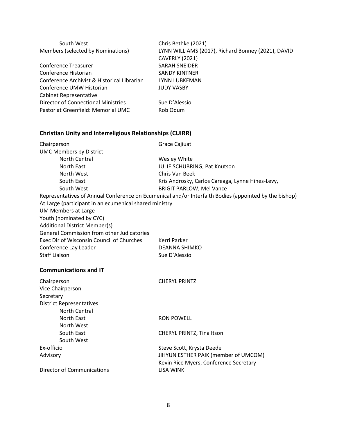| South West                                                      | Chris Bethke (2021)                                                                                   |
|-----------------------------------------------------------------|-------------------------------------------------------------------------------------------------------|
| Members (selected by Nominations)                               | LYNN WILLIAMS (2017), Richard Bonney (2021), DAVID                                                    |
|                                                                 | <b>CAVERLY (2021)</b>                                                                                 |
| <b>Conference Treasurer</b>                                     | <b>SARAH SNEIDER</b>                                                                                  |
| Conference Historian                                            | <b>SANDY KINTNER</b>                                                                                  |
| Conference Archivist & Historical Librarian                     | LYNN LUBKEMAN                                                                                         |
| Conference UMW Historian                                        | <b>JUDY VASBY</b>                                                                                     |
| Cabinet Representative                                          |                                                                                                       |
| <b>Director of Connectional Ministries</b>                      | Sue D'Alessio                                                                                         |
| Pastor at Greenfield: Memorial UMC                              | Rob Odum                                                                                              |
| <b>Christian Unity and Interreligious Relationships (CUIRR)</b> |                                                                                                       |
| Chairperson                                                     | Grace Cajiuat                                                                                         |
| <b>UMC Members by District</b>                                  |                                                                                                       |
| North Central                                                   | Wesley White                                                                                          |
| North East                                                      | JULIE SCHUBRING, Pat Knutson                                                                          |
| North West                                                      | Chris Van Beek                                                                                        |
| South East                                                      | Kris Androsky, Carlos Careaga, Lynne Hines-Levy,                                                      |
| South West                                                      | <b>BRIGIT PARLOW, Mel Vance</b>                                                                       |
|                                                                 | Representatives of Annual Conference on Ecumenical and/or Interfaith Bodies (appointed by the bishop) |
| At Large (participant in an ecumenical shared ministry          |                                                                                                       |
| UM Members at Large                                             |                                                                                                       |
| Youth (nominated by CYC)                                        |                                                                                                       |
| <b>Additional District Member(s)</b>                            |                                                                                                       |
| General Commission from other Judicatories                      |                                                                                                       |
| Exec Dir of Wisconsin Council of Churches                       | Kerri Parker                                                                                          |
| Conference Lay Leader                                           | <b>DEANNA SHIMKO</b>                                                                                  |
| <b>Staff Liaison</b>                                            | Sue D'Alessio                                                                                         |
| <b>Communications and IT</b>                                    |                                                                                                       |
| Chairperson                                                     | <b>CHERYL PRINTZ</b>                                                                                  |
| Vice Chairperson                                                |                                                                                                       |
| Secretary                                                       |                                                                                                       |
| <b>District Representatives</b>                                 |                                                                                                       |
| North Central                                                   |                                                                                                       |
| North East                                                      | <b>RON POWELL</b>                                                                                     |
| North West                                                      |                                                                                                       |
| South East                                                      | CHERYL PRINTZ, Tina Itson                                                                             |
| South West                                                      |                                                                                                       |
| Ex-officio                                                      | Steve Scott, Krysta Deede                                                                             |
| Advisory                                                        | JIHYUN ESTHER PAIK (member of UMCOM)                                                                  |
|                                                                 | Kevin Rice Myers, Conference Secretary                                                                |
| <b>Director of Communications</b>                               | <b>LISA WINK</b>                                                                                      |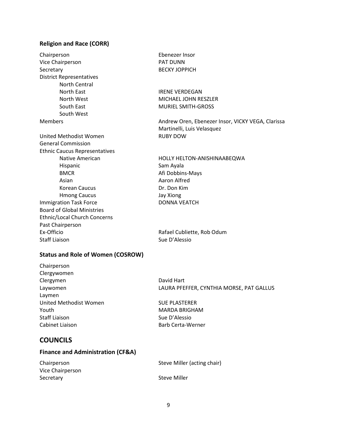#### **Religion and Race (CORR)**

Chairperson Ebenezer Insor Vice Chairperson **PAT DUNN** Secretary BECKY JOPPICH District Representatives North Central North East **IRENE VERDEGAN** North West MICHAEL JOHN RESZLER South East MURIEL SMITH-GROSS South West United Methodist Women **RUBY DOW** General Commission Ethnic Caucus Representatives Hispanic Sam Ayala BMCR BMCR Afi Dobbins-Mays Asian **Abraham Aaron Alfred** Korean Caucus **Dr. Don Kim** Hmong Caucus Jay Xiong Immigration Task Force DONNA VEATCH Board of Global Ministries Ethnic/Local Church Concerns Past Chairperson Ex-Officio **Rafael Cubliette, Rob Odum** Staff Liaison Sue D'Alessio

Members **Andrew Oren, Ebenezer Insor, VICKY VEGA, Clarissa** Andrew Oren, Ebenezer Insor, VICKY VEGA, Clarissa Martinelli, Luis Velasquez Native American **HOLLY HELTON-ANISHINAABEQWA** 

#### **Status and Role of Women (COSROW)**

Chairperson Clergywomen Clergymen David Hart Laymen United Methodist Women SUE PLASTERER Youth MARDA BRIGHAM Staff Liaison Sue D'Alessio Cabinet Liaison **Barb Certa-Werner** 

Laywomen LAURA PFEFFER, CYNTHIA MORSE, PAT GALLUS

### **COUNCILS**

#### **Finance and Administration (CF&A)**

| Chairperson      | Steve Miller (acting chair) |
|------------------|-----------------------------|
| Vice Chairperson |                             |
| Secretary        | Steve Miller                |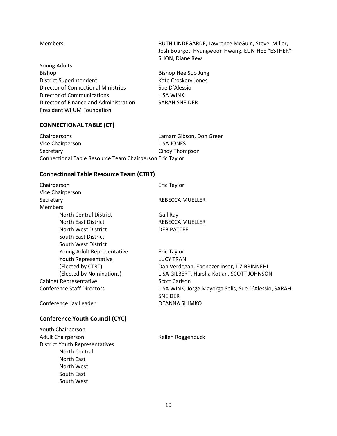Young Adults Bishop Bishop Hee Soo Jung District Superintendent Kate Croskery Jones Director of Connectional Ministries Sue D'Alessio Director of Communications **LISA WINK** Director of Finance and Administration SARAH SNEIDER President WI UM Foundation

Members RUTH LINDEGARDE, Lawrence McGuin, Steve, Miller, Josh Bourget, Hyungwoon Hwang, EUN-HEE "ESTHER" SHON, Diane Rew

#### **CONNECTIONAL TABLE (CT)**

Chairpersons Lamarr Gibson, Don Greer Vice Chairperson LISA JONES Secretary **Cindy Thompson** Connectional Table Resource Team Chairperson Eric Taylor

#### **Connectional Table Resource Team (CTRT)**

| Chairperson                           | <b>Eric Taylor</b>                                   |
|---------------------------------------|------------------------------------------------------|
| Vice Chairperson                      |                                                      |
| Secretary                             | REBECCA MUELLER                                      |
| <b>Members</b>                        |                                                      |
| <b>North Central District</b>         | Gail Ray                                             |
| North East District                   | REBECCA MUELLER                                      |
| North West District                   | <b>DEB PATTEE</b>                                    |
| South East District                   |                                                      |
| South West District                   |                                                      |
| Young Adult Representative            | <b>Eric Taylor</b>                                   |
| Youth Representative                  | <b>LUCY TRAN</b>                                     |
| (Elected by CTRT)                     | Dan Verdegan, Ebenezer Insor, LIZ BRINNEHL           |
| (Elected by Nominations)              | LISA GILBERT, Harsha Kotian, SCOTT JOHNSON           |
| Cabinet Representative                | <b>Scott Carlson</b>                                 |
| <b>Conference Staff Directors</b>     | LISA WINK, Jorge Mayorga Solis, Sue D'Alessio, SARAH |
|                                       | <b>SNEIDER</b>                                       |
| Conference Lay Leader                 | DEANNA SHIMKO                                        |
| <b>Conference Youth Council (CYC)</b> |                                                      |

Youth Chairperson Adult Chairperson **Adult Chairperson Kellen Roggenbuck** District Youth Representatives North Central North East North West South East South West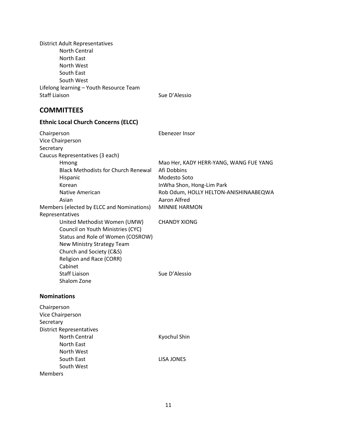District Adult Representatives North Central North East North West South East South West Lifelong learning – Youth Resource Team Staff Liaison Staff Liaison Sue D'Alessio

## **COMMITTEES**

| <b>Ethnic Local Church Concerns (ELCC)</b> |                                        |
|--------------------------------------------|----------------------------------------|
| Chairperson                                | Ebenezer Insor                         |
| Vice Chairperson                           |                                        |
| Secretary                                  |                                        |
| Caucus Representatives (3 each)            |                                        |
| Hmong                                      | Mao Her, KADY HERR-YANG, WANG FUE YANG |
| <b>Black Methodists for Church Renewal</b> | Afi Dobbins                            |
| Hispanic                                   | Modesto Soto                           |
| Korean                                     | InWha Shon, Hong-Lim Park              |
| Native American                            | Rob Odum, HOLLY HELTON-ANISHINAABEQWA  |
| Asian                                      | Aaron Alfred                           |
| Members (elected by ELCC and Nominations)  | <b>MINNIE HARMON</b>                   |
| Representatives                            |                                        |
| United Methodist Women (UMW)               | <b>CHANDY XIONG</b>                    |
| Council on Youth Ministries (CYC)          |                                        |
| Status and Role of Women (COSROW)          |                                        |
| New Ministry Strategy Team                 |                                        |
| Church and Society (C&S)                   |                                        |
| <b>Religion and Race (CORR)</b>            |                                        |
| Cabinet                                    |                                        |
| <b>Staff Liaison</b>                       | Sue D'Alessio                          |
| Shalom Zone                                |                                        |
| <b>Nominations</b>                         |                                        |
| Chairperson                                |                                        |
| Vice Chairperson                           |                                        |
| Secretary                                  |                                        |
| <b>District Representatives</b>            |                                        |
| <b>North Central</b>                       | Kyochul Shin                           |
| North East                                 |                                        |
| North West                                 |                                        |
| South East                                 | <b>LISA JONES</b>                      |
| South West                                 |                                        |
| <b>Members</b>                             |                                        |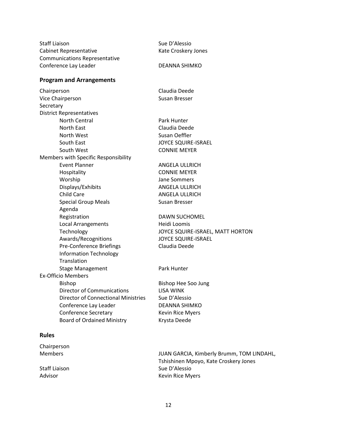| <b>Staff Liaison</b>                       | Sue D'Alessio                    |
|--------------------------------------------|----------------------------------|
| <b>Cabinet Representative</b>              | Kate Croskery Jones              |
| <b>Communications Representative</b>       |                                  |
| Conference Lay Leader                      | DEANNA SHIMKO                    |
| <b>Program and Arrangements</b>            |                                  |
| Chairperson                                | Claudia Deede                    |
| Vice Chairperson                           | Susan Bresser                    |
| Secretary                                  |                                  |
| <b>District Representatives</b>            |                                  |
| <b>North Central</b>                       | Park Hunter                      |
| North East                                 | Claudia Deede                    |
| North West                                 | Susan Oeffler                    |
| South East                                 | <b>JOYCE SQUIRE-ISRAEL</b>       |
| South West                                 | <b>CONNIE MEYER</b>              |
| Members with Specific Responsibility       |                                  |
| <b>Event Planner</b>                       | ANGELA ULLRICH                   |
| Hospitality                                | <b>CONNIE MEYER</b>              |
| Worship                                    | Jane Sommers                     |
| Displays/Exhibits                          | ANGELA ULLRICH                   |
| <b>Child Care</b>                          | ANGELA ULLRICH                   |
| <b>Special Group Meals</b>                 | Susan Bresser                    |
| Agenda                                     |                                  |
| Registration                               | <b>DAWN SUCHOMEL</b>             |
| <b>Local Arrangements</b>                  | Heidi Loomis                     |
| Technology                                 | JOYCE SQUIRE-ISRAEL, MATT HORTON |
| Awards/Recognitions                        | <b>JOYCE SQUIRE-ISRAEL</b>       |
| Pre-Conference Briefings                   | Claudia Deede                    |
| <b>Information Technology</b>              |                                  |
| Translation                                |                                  |
| <b>Stage Management</b>                    | Park Hunter                      |
| <b>Ex-Officio Members</b>                  |                                  |
| <b>Bishop</b>                              | Bishop Hee Soo Jung              |
| <b>Director of Communications</b>          | <b>LISA WINK</b>                 |
| <b>Director of Connectional Ministries</b> | Sue D'Alessio                    |
| Conference Lay Leader                      | <b>DEANNA SHIMKO</b>             |
| <b>Conference Secretary</b>                | Kevin Rice Myers                 |
| <b>Board of Ordained Ministry</b>          | Krysta Deede                     |
| <b>Rules</b>                               |                                  |
| Chairperson                                |                                  |

Members JUAN GARCIA, Kimberly Brumm, TOM LINDAHL, Tshishinen Mpoyo, Kate Croskery Jones Staff Liaison Staff Liaison Sue D'Alessio Advisor **Advisor** Advisor **Advisor** Kevin Rice Myers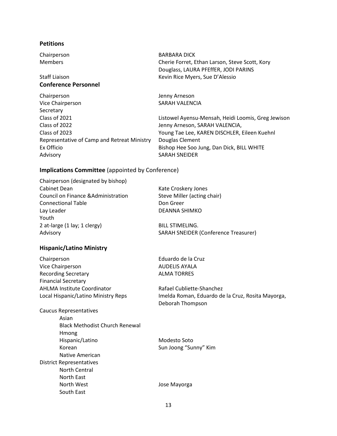#### **Petitions**

## **Conference Personnel**

Chairperson Jenny Arneson Vice Chairperson SARAH VALENCIA **Secretary** Class of 2022 Jenny Arneson, SARAH VALENCIA, Representative of Camp and Retreat Ministry Douglas Clement Ex Officio Bishop Hee Soo Jung, Dan Dick, BILL WHITE Advisory **SARAH SNEIDER** 

#### Chairperson BARBARA DICK Members Cherie Forret, Ethan Larson, Steve Scott, Kory Douglass, LAURA PFEffER, JODI PARINS Staff Liaison **Kevin Rice Myers, Sue D'Alessio**

Class of 2021 Listowel Ayensu-Mensah, Heidi Loomis, Greg Jewison Class of 2023 Young Tae Lee, KAREN DISCHLER, Eileen Kuehnl

#### **Implications Committee** (appointed by Conference)

| Chairperson (designated by bishop)  |                                             |
|-------------------------------------|---------------------------------------------|
| Cabinet Dean                        | Kate Croskery Jones                         |
| Council on Finance & Administration | Steve Miller (acting chair)                 |
| <b>Connectional Table</b>           | Don Greer                                   |
| Lay Leader                          | DEANNA SHIMKO                               |
| Youth                               |                                             |
| 2 at-large (1 lay; 1 clergy)        | <b>BILL STIMELING.</b>                      |
| Advisory                            | <b>SARAH SNEIDER (Conference Treasurer)</b> |

#### **Hispanic/Latino Ministry**

| Chairperson                         |
|-------------------------------------|
| Vice Chairperson                    |
| <b>Recording Secretary</b>          |
| <b>Financial Secretary</b>          |
| <b>AHLMA Institute Coordinator</b>  |
| Local Hispanic/Latino Ministry Reps |
|                                     |

Caucus Representatives Asian Black Methodist Church Renewal Hmong Hispanic/Latino Modesto Soto Korean Sun Joong "Sunny" Kim Native American District Representatives North Central North East North West **Internal Control** Control Dose Mayorga South East

Eduardo de la Cruz AUDELIS AYALA **ALMA TORRES** 

Rafael Cubliette-Shanchez Imelda Roman, Eduardo de la Cruz, Rosita Mayorga, Deborah Thompson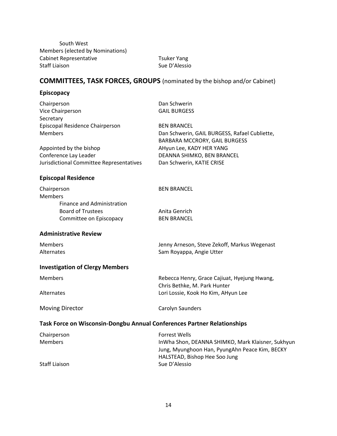South West Members (elected by Nominations) Cabinet Representative Tsuker Yang Staff Liaison Staff Liaison Sue D'Alessio

## **COMMITTEES, TASK FORCES, GROUPS** (nominated by the bishop and/or Cabinet)

#### **Episcopacy**

| Chairperson                                                             | Dan Schwerin                                      |
|-------------------------------------------------------------------------|---------------------------------------------------|
| Vice Chairperson                                                        | <b>GAIL BURGESS</b>                               |
| Secretary                                                               |                                                   |
| Episcopal Residence Chairperson                                         | <b>BEN BRANCEL</b>                                |
| <b>Members</b>                                                          | Dan Schwerin, GAIL BURGESS, Rafael Cubliette,     |
|                                                                         | <b>BARBARA MCCRORY, GAIL BURGESS</b>              |
| Appointed by the bishop                                                 | AHyun Lee, KADY HER YANG                          |
| Conference Lay Leader                                                   | DEANNA SHIMKO, BEN BRANCEL                        |
| Jurisdictional Committee Representatives                                | Dan Schwerin, KATIE CRISE                         |
| <b>Episcopal Residence</b>                                              |                                                   |
| Chairperson                                                             | <b>BEN BRANCEL</b>                                |
| <b>Members</b>                                                          |                                                   |
| Finance and Administration                                              |                                                   |
| <b>Board of Trustees</b>                                                | Anita Genrich                                     |
| Committee on Episcopacy                                                 | <b>BEN BRANCEL</b>                                |
| <b>Administrative Review</b>                                            |                                                   |
| <b>Members</b>                                                          | Jenny Arneson, Steve Zekoff, Markus Wegenast      |
| Alternates                                                              | Sam Royappa, Angie Utter                          |
| <b>Investigation of Clergy Members</b>                                  |                                                   |
| <b>Members</b>                                                          | Rebecca Henry, Grace Cajiuat, Hyejung Hwang,      |
|                                                                         | Chris Bethke, M. Park Hunter                      |
| Alternates                                                              | Lori Lossie, Kook Ho Kim, AHyun Lee               |
| <b>Moving Director</b>                                                  | Carolyn Saunders                                  |
| Task Force on Wisconsin-Dongbu Annual Conferences Partner Relationships |                                                   |
| Chairperson                                                             | <b>Forrest Wells</b>                              |
| <b>Members</b>                                                          | InWha Shon, DEANNA SHIMKO, Mark Klaisner, Sukhyun |
|                                                                         | Jung, Myunghoon Han, PyungAhn Peace Kim, BECKY    |
|                                                                         | HALSTEAD, Bishop Hee Soo Jung                     |
| <b>Staff Liaison</b>                                                    | Sue D'Alessio                                     |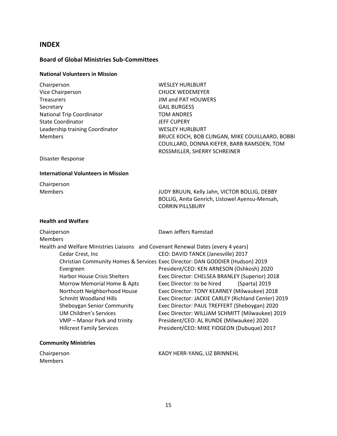#### **INDEX**

#### **Board of Global Ministries Sub-Committees**

#### **National Volunteers in Mission**

| Chairperson                      | <b>WESLEY HURLBURT</b>                          |
|----------------------------------|-------------------------------------------------|
| Vice Chairperson                 | <b>CHUCK WEDEMEYER</b>                          |
| <b>Treasurers</b>                | JIM and PAT HOUWERS                             |
| Secretary                        | <b>GAIL BURGESS</b>                             |
| <b>National Trip Coordinator</b> | TOM ANDRES                                      |
| <b>State Coordinator</b>         | <b>JEFF CUPERY</b>                              |
| Leadership training Coordinator  | <b>WESLEY HURLBURT</b>                          |
| <b>Members</b>                   | BRUCE KOCH, BOB CLINGAN, MIKE COUILLAARD, BOBBI |
|                                  | COUILLARD, DONNA KIEFER, BARB RAMSDEN, TOM      |
|                                  | ROSSMILLER, SHERRY SCHREINER                    |

Disaster Response

#### **International Volunteers in Mission**

Chairperson

Members JUDY BRUUN, Kelly Jahn, VICTOR BOLLIG, DEBBY BOLLIG, Anita Genrich, Listowel Ayensu-Mensah, CORRIN PILLSBURY

#### **Health and Welfare**

| Chairperson                                                                       | Dawn Jeffers Ramstad                                                          |
|-----------------------------------------------------------------------------------|-------------------------------------------------------------------------------|
| <b>Members</b>                                                                    |                                                                               |
| Health and Welfare Ministries Liaisons and Covenant Renewal Dates (every 4 years) |                                                                               |
| Cedar Crest, Inc.                                                                 | CEO: DAVID TANCK (Janesville) 2017                                            |
|                                                                                   | Christian Community Homes & Services Exec Director: DAN GODDIER (Hudson) 2019 |
| Evergreen                                                                         | President/CEO: KEN ARNESON (Oshkosh) 2020                                     |
| <b>Harbor House Crisis Shelters</b>                                               | Exec Director: CHELSEA BRANLEY (Superior) 2018                                |
| Morrow Memorial Home & Apts                                                       | Exec Director: to be hired<br>(Sparta) 2019                                   |
| Northcott Neighborhood House                                                      | Exec Director: TONY KEARNEY (Milwaukee) 2018                                  |
| <b>Schmitt Woodland Hills</b>                                                     | Exec Director: JACKIE CARLEY (Richland Center) 2019                           |
| Sheboygan Senior Community                                                        | Exec Director: PAUL TREFFERT (Sheboygan) 2020                                 |
| UM Children's Services                                                            | Exec Director: WILLIAM SCHMITT (Milwaukee) 2019                               |
| VMP - Manor Park and trinity                                                      | President/CEO: AL RUNDE (Milwaukee) 2020                                      |
| <b>Hillcrest Family Services</b>                                                  | President/CEO: MIKE FIDGEON (Dubuque) 2017                                    |

#### **Community Ministries**

| Chairperson    | KADY HERR-YANG, LIZ BRINNEHL |
|----------------|------------------------------|
| <b>Members</b> |                              |
|                |                              |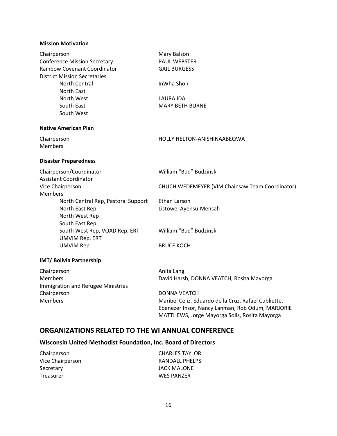#### **Mission Motivation**

| Chairperson<br><b>Conference Mission Secretary</b><br>Rainbow Covenant Coordinator<br><b>District Mission Secretaries</b><br>North Central<br>North East<br>North West<br>South East<br>South West | Mary Balson<br>PAUL WEBSTER<br><b>GAIL BURGESS</b><br>InWha Shon<br>LAURA IDA<br><b>MARY BETH BURNE</b>                                                                                                                                     |
|----------------------------------------------------------------------------------------------------------------------------------------------------------------------------------------------------|---------------------------------------------------------------------------------------------------------------------------------------------------------------------------------------------------------------------------------------------|
| <b>Native American Plan</b>                                                                                                                                                                        |                                                                                                                                                                                                                                             |
| Chairperson<br><b>Members</b>                                                                                                                                                                      | HOLLY HELTON-ANISHINAABEQWA                                                                                                                                                                                                                 |
| <b>Disaster Preparedness</b>                                                                                                                                                                       |                                                                                                                                                                                                                                             |
| Chairperson/Coordinator<br><b>Assistant Coordinator</b>                                                                                                                                            | William "Bud" Budzinski                                                                                                                                                                                                                     |
| Vice Chairperson<br><b>Members</b>                                                                                                                                                                 | CHUCH WEDEMEYER (VIM Chainsaw Team Coordinator)                                                                                                                                                                                             |
| North Central Rep, Pastoral Support<br>North East Rep<br>North West Rep<br>South East Rep                                                                                                          | Ethan Larson<br>Listowel Ayensu-Mensah                                                                                                                                                                                                      |
| South West Rep, VOAD Rep, ERT<br>UMVIM Rep, ERT                                                                                                                                                    | William "Bud" Budzinski                                                                                                                                                                                                                     |
| <b>UMVIM Rep</b>                                                                                                                                                                                   | <b>BRUCE KOCH</b>                                                                                                                                                                                                                           |
| <b>IMT/ Bolivia Partnership</b>                                                                                                                                                                    |                                                                                                                                                                                                                                             |
| Chairperson<br><b>Members</b><br>Immigration and Refugee Ministries<br>Chairperson<br><b>Members</b>                                                                                               | Anita Lang<br>David Harsh, DONNA VEATCH, Rosita Mayorga<br><b>DONNA VEATCH</b><br>Maribel Celiz, Eduardo de la Cruz, Rafael Cubliette,<br>Ebenezer Insor, Nancy Lanman, Rob Odum, MARJORIE<br>MATTHEWS, Jorge Mayorga Solis, Rosita Mayorga |

## **ORGANIZATIONS RELATED TO THE WI ANNUAL CONFERENCE**

## **Wisconsin United Methodist Foundation, Inc. Board of Directors**

| Chairperson      | <b>CHARLES TAYLOR</b> |
|------------------|-----------------------|
| Vice Chairperson | RANDALL PHELPS        |
| Secretary        | JACK MALONE           |
| Treasurer        | <b>WES PANZER</b>     |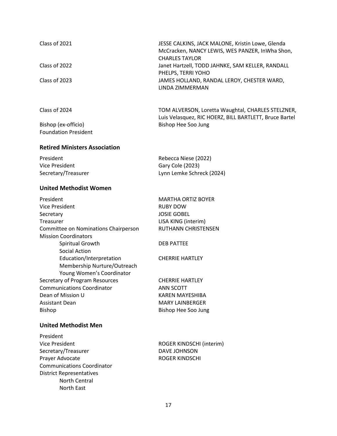| Class of 2021                                                                        | JESSE CALKINS, JACK MALONE, Kristin Lowe, Glenda<br>McCracken, NANCY LEWIS, WES PANZER, InWha Shon,<br><b>CHARLES TAYLOR</b> |
|--------------------------------------------------------------------------------------|------------------------------------------------------------------------------------------------------------------------------|
| Class of 2022                                                                        | Janet Hartzell, TODD JAHNKE, SAM KELLER, RANDALL<br>PHELPS, TERRI YOHO                                                       |
| Class of 2023                                                                        | JAMES HOLLAND, RANDAL LEROY, CHESTER WARD,<br>LINDA ZIMMERMAN                                                                |
| Class of 2024                                                                        | TOM ALVERSON, Loretta Waughtal, CHARLES STELZNER,<br>Luis Velasquez, RIC HOERZ, BILL BARTLETT, Bruce Bartel                  |
| Bishop (ex-officio)<br><b>Foundation President</b>                                   | Bishop Hee Soo Jung                                                                                                          |
| <b>Retired Ministers Association</b>                                                 |                                                                                                                              |
| President                                                                            | Rebecca Niese (2022)                                                                                                         |
| <b>Vice President</b>                                                                | Gary Cole (2023)                                                                                                             |
| Secretary/Treasurer                                                                  | Lynn Lemke Schreck (2024)                                                                                                    |
| <b>United Methodist Women</b>                                                        |                                                                                                                              |
| President                                                                            | <b>MARTHA ORTIZ BOYER</b>                                                                                                    |
| <b>Vice President</b>                                                                | <b>RUBY DOW</b>                                                                                                              |
| Secretary                                                                            | <b>JOSIE GOBEL</b>                                                                                                           |
| Treasurer                                                                            | LISA KING (interim)                                                                                                          |
| Committee on Nominations Chairperson                                                 | RUTHANN CHRISTENSEN                                                                                                          |
| <b>Mission Coordinators</b>                                                          |                                                                                                                              |
| Spiritual Growth<br><b>Social Action</b>                                             | <b>DEB PATTEE</b>                                                                                                            |
| Education/Interpretation<br>Membership Nurture/Outreach<br>Young Women's Coordinator | <b>CHERRIE HARTLEY</b>                                                                                                       |
| Secretary of Program Resources                                                       | <b>CHERRIE HARTLEY</b>                                                                                                       |
| <b>Communications Coordinator</b>                                                    | <b>ANN SCOTT</b>                                                                                                             |
| Dean of Mission U                                                                    | <b>KAREN MAYESHIBA</b>                                                                                                       |
| <b>Assistant Dean</b>                                                                | <b>MARY LAINBERGER</b>                                                                                                       |
| <b>Bishop</b>                                                                        | Bishop Hee Soo Jung                                                                                                          |
| <b>United Methodist Men</b>                                                          |                                                                                                                              |
| President                                                                            |                                                                                                                              |
| <b>Vice President</b>                                                                | ROGER KINDSCHI (interim)                                                                                                     |
| Secretary/Treasurer                                                                  | DAVE JOHNSON                                                                                                                 |
| Prayer Advocate                                                                      | <b>ROGER KINDSCHI</b>                                                                                                        |
| <b>Communications Coordinator</b>                                                    |                                                                                                                              |
| <b>District Representatives</b>                                                      |                                                                                                                              |
| <b>North Central</b>                                                                 |                                                                                                                              |
| North East                                                                           |                                                                                                                              |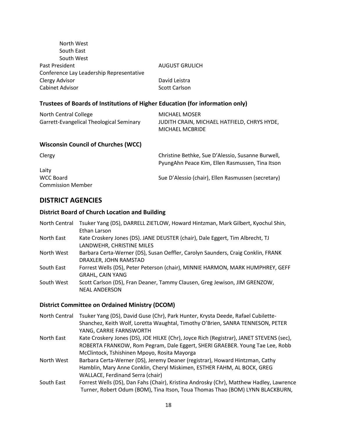| North West                                                                    |                       |
|-------------------------------------------------------------------------------|-----------------------|
| South East                                                                    |                       |
| South West                                                                    |                       |
| <b>Past President</b>                                                         | <b>AUGUST GRULICH</b> |
| Conference Lay Leadership Representative                                      |                       |
| Clergy Advisor                                                                | David Leistra         |
| <b>Cabinet Advisor</b>                                                        | Scott Carlson         |
| Trustees of Boards of Institutions of Higher Education (for information only) |                       |
|                                                                               |                       |

| North Central College                    | MICHAEL MOSER                               |
|------------------------------------------|---------------------------------------------|
| Garrett-Evangelical Theological Seminary | JUDITH CRAIN, MICHAEL HATFIELD, CHRYS HYDE, |
|                                          | <b>MICHAEL MCBRIDE</b>                      |

#### **Wisconsin Council of Churches (WCC)**

| Clergy                   | Christine Bethke, Sue D'Alessio, Susanne Burwell,<br>PyungAhn Peace Kim, Ellen Rasmussen, Tina Itson |
|--------------------------|------------------------------------------------------------------------------------------------------|
| Laity                    |                                                                                                      |
| WCC Board                | Sue D'Alessio (chair), Ellen Rasmussen (secretary)                                                   |
| <b>Commission Member</b> |                                                                                                      |

#### **DISTRICT AGENCIES**

#### **District Board of Church Location and Building**

| North Central | Tsuker Yang (DS), DARRELL ZIETLOW, Howard Hintzman, Mark Gilbert, Kyochul Shin,<br>Ethan Larson            |
|---------------|------------------------------------------------------------------------------------------------------------|
| North East    | Kate Croskery Jones (DS). JANE DEUSTER (chair), Dale Eggert, Tim Albrecht, TJ<br>LANDWEHR, CHRISTINE MILES |
| North West    | Barbara Certa-Werner (DS), Susan Oeffler, Carolyn Saunders, Craig Conklin, FRANK<br>DRAXLER, JOHN RAMSTAD  |
| South East    | Forrest Wells (DS), Peter Peterson (chair), MINNIE HARMON, MARK HUMPHREY, GEFF<br><b>GRAHL, CAIN YANG</b>  |
| South West    | Scott Carlson (DS), Fran Deaner, Tammy Clausen, Greg Jewison, JIM GRENZOW,<br><b>NEAL ANDERSON</b>         |

#### **District Committee on Ordained Ministry (DCOM)**

- North Central Tsuker Yang (DS), David Guse (Chr), Park Hunter, Krysta Deede, Rafael Cubilette-Shanchez, Keith Wolf, Loretta Waughtal, Timothy O'Brien, SANRA TENNESON, PETER YANG, CARRIE FARNSWORTH
- North East Kate Croskery Jones (DS), JOE HILKE (Chr), Joyce Rich (Registrar), JANET STEVENS (sec), ROBERTA FRANKOW, Rom Pegram, Dale Eggert, SHERI GRAEBER. Young Tae Lee, Robb McClintock, Tshishinen Mpoyo, Rosita Mayorga
- North West Barbara Certa-Werner (DS), Jeremy Deaner (registrar), Howard Hintzman, Cathy Hamblin, Mary Anne Conklin, Cheryl Miskimen, ESTHER FAHM, AL BOCK, GREG WALLACE, Ferdinand Serra (chair)
- South East Forrest Wells (DS), Dan Fahs (Chair), Kristina Androsky (Chr), Matthew Hadley, Lawrence Turner, Robert Odum (BOM), Tina Itson, Toua Thomas Thao (BOM) LYNN BLACKBURN,